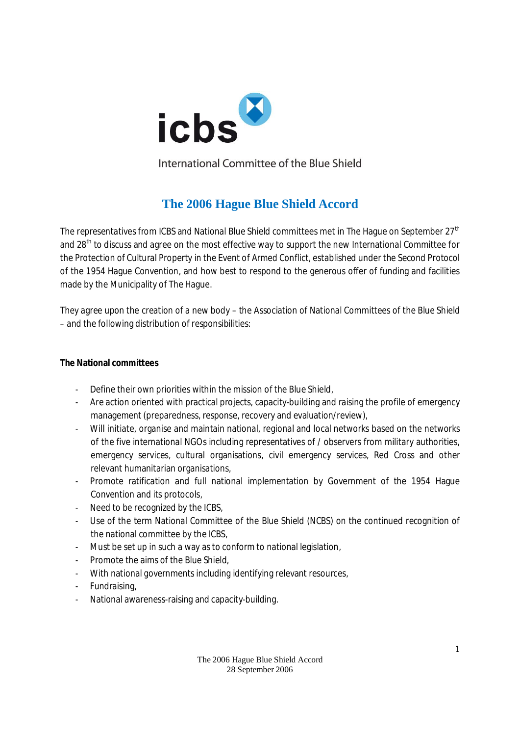

International Committee of the Blue Shield

# **The 2006 Hague Blue Shield Accord**

The representatives from ICBS and National Blue Shield committees met in The Hague on September 27<sup>th</sup> and 28<sup>th</sup> to discuss and agree on the most effective way to support the new International Committee for the Protection of Cultural Property in the Event of Armed Conflict, established under the Second Protocol of the 1954 Hague Convention, and how best to respond to the generous offer of funding and facilities made by the Municipality of The Hague.

They agree upon the creation of a new body – the Association of National Committees of the Blue Shield – and the following distribution of responsibilities:

### **The National committees**

- Define their own priorities within the mission of the Blue Shield,
- Are action oriented with practical projects, capacity-building and raising the profile of emergency management (preparedness, response, recovery and evaluation/review),
- Will initiate, organise and maintain national, regional and local networks based on the networks of the five international NGOs including representatives of / observers from military authorities, emergency services, cultural organisations, civil emergency services, Red Cross and other relevant humanitarian organisations,
- Promote ratification and full national implementation by Government of the 1954 Hague Convention and its protocols,
- Need to be recognized by the ICBS,
- Use of the term National Committee of the Blue Shield (NCBS) on the continued recognition of the national committee by the ICBS,
- Must be set up in such a way as to conform to national legislation,
- Promote the aims of the Blue Shield.
- With national governments including identifying relevant resources,
- Fundraising,
- National awareness-raising and capacity-building.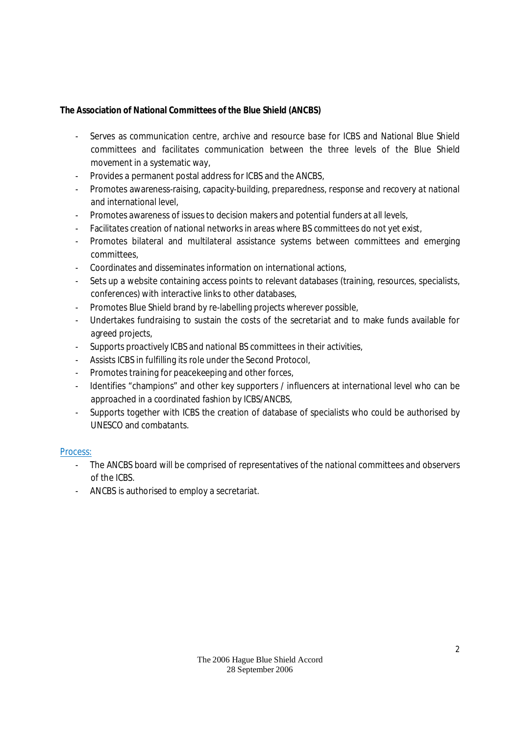**The Association of National Committees of the Blue Shield (ANCBS)**

- Serves as communication centre, archive and resource base for ICBS and National Blue Shield committees and facilitates communication between the three levels of the Blue Shield movement in a systematic way,
- Provides a permanent postal address for ICBS and the ANCBS,
- Promotes awareness-raising, capacity-building, preparedness, response and recovery at national and international level,
- Promotes awareness of issues to decision makers and potential funders at all levels,
- Facilitates creation of national networks in areas where BS committees do not yet exist,
- Promotes bilateral and multilateral assistance systems between committees and emerging committees,
- Coordinates and disseminates information on international actions,
- Sets up a website containing access points to relevant databases (training, resources, specialists, conferences) with interactive links to other databases,
- Promotes Blue Shield brand by re-labelling projects wherever possible,
- Undertakes fundraising to sustain the costs of the secretariat and to make funds available for agreed projects,
- Supports proactively ICBS and national BS committees in their activities,
- Assists ICBS in fulfilling its role under the Second Protocol,
- Promotes training for peacekeeping and other forces,
- Identifies "champions" and other key supporters / influencers at international level who can be approached in a coordinated fashion by ICBS/ANCBS,
- Supports together with ICBS the creation of database of specialists who could be authorised by UNESCO and combatants.

## Process:

- The ANCBS board will be comprised of representatives of the national committees and observers of the ICBS.
- ANCBS is authorised to employ a secretariat.